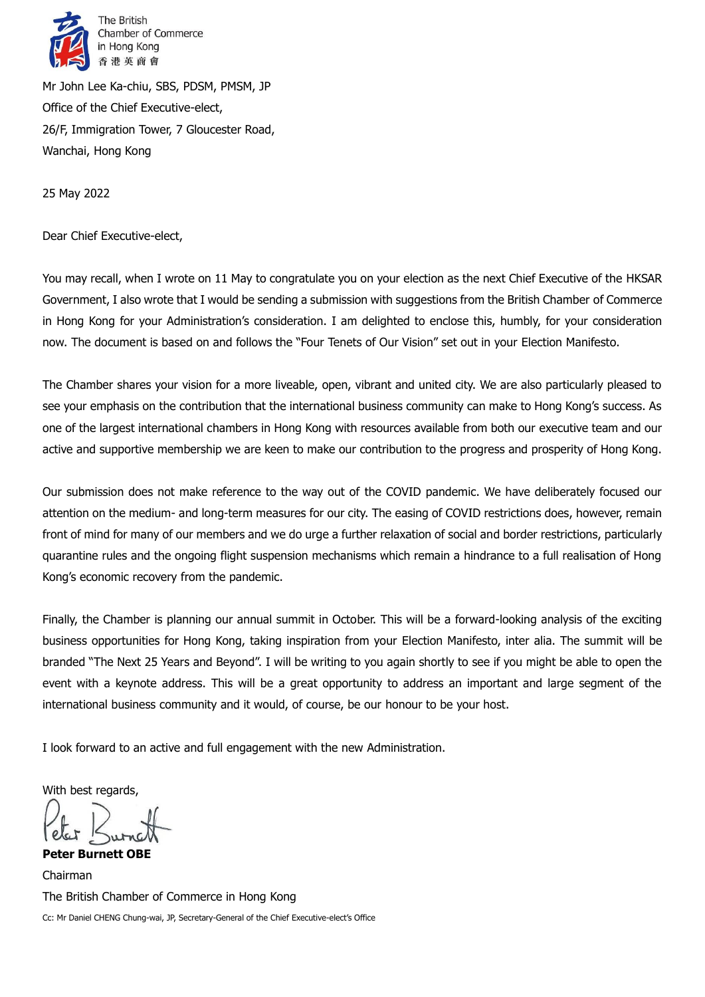

Mr John Lee Ka-chiu, SBS, PDSM, PMSM, JP Office of the Chief Executive-elect, 26/F, Immigration Tower, 7 Gloucester Road, Wanchai, Hong Kong

25 May 2022

Dear Chief Executive-elect,

You may recall, when I wrote on 11 May to congratulate you on your election as the next Chief Executive of the HKSAR Government, I also wrote that I would be sending a submission with suggestions from the British Chamber of Commerce in Hong Kong for your Administration's consideration. I am delighted to enclose this, humbly, for your consideration now. The document is based on and follows the "Four Tenets of Our Vision" set out in your Election Manifesto.

The Chamber shares your vision for a more liveable, open, vibrant and united city. We are also particularly pleased to see your emphasis on the contribution that the international business community can make to Hong Kong's success. As one of the largest international chambers in Hong Kong with resources available from both our executive team and our active and supportive membership we are keen to make our contribution to the progress and prosperity of Hong Kong.

Our submission does not make reference to the way out of the COVID pandemic. We have deliberately focused our attention on the medium- and long-term measures for our city. The easing of COVID restrictions does, however, remain front of mind for many of our members and we do urge a further relaxation of social and border restrictions, particularly quarantine rules and the ongoing flight suspension mechanisms which remain a hindrance to a full realisation of Hong Kong's economic recovery from the pandemic.

Finally, the Chamber is planning our annual summit in October. This will be a forward-looking analysis of the exciting business opportunities for Hong Kong, taking inspiration from your Election Manifesto, inter alia. The summit will be branded "The Next 25 Years and Beyond". I will be writing to you again shortly to see if you might be able to open the event with a keynote address. This will be a great opportunity to address an important and large segment of the international business community and it would, of course, be our honour to be your host.

I look forward to an active and full engagement with the new Administration.

With best regards,

**Peter Burnett OBE**

Chairman The British Chamber of Commerce in Hong Kong Cc: Mr Daniel CHENG Chung-wai, JP, Secretary-General of the Chief Executive-elect's Office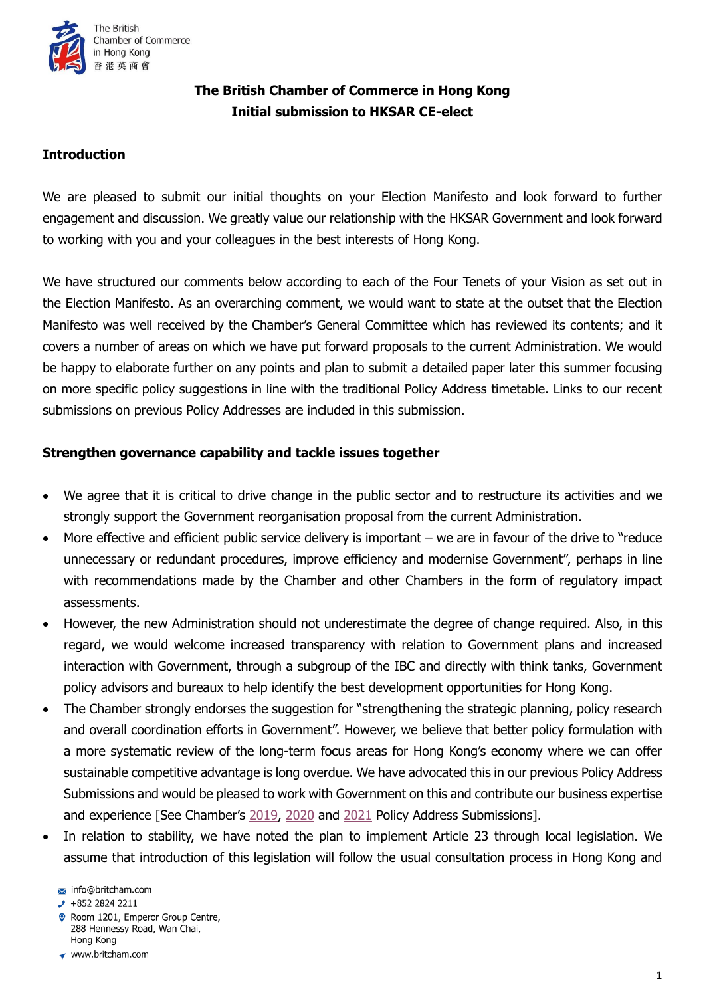

# **The British Chamber of Commerce in Hong Kong Initial submission to HKSAR CE-elect**

## **Introduction**

We are pleased to submit our initial thoughts on your Election Manifesto and look forward to further engagement and discussion. We greatly value our relationship with the HKSAR Government and look forward to working with you and your colleagues in the best interests of Hong Kong.

We have structured our comments below according to each of the Four Tenets of your Vision as set out in the Election Manifesto. As an overarching comment, we would want to state at the outset that the Election Manifesto was well received by the Chamber's General Committee which has reviewed its contents; and it covers a number of areas on which we have put forward proposals to the current Administration. We would be happy to elaborate further on any points and plan to submit a detailed paper later this summer focusing on more specific policy suggestions in line with the traditional Policy Address timetable. Links to our recent submissions on previous Policy Addresses are included in this submission.

### **Strengthen governance capability and tackle issues together**

- We agree that it is critical to drive change in the public sector and to restructure its activities and we strongly support the Government reorganisation proposal from the current Administration.
- More effective and efficient public service delivery is important we are in favour of the drive to "reduce unnecessary or redundant procedures, improve efficiency and modernise Government", perhaps in line with recommendations made by the Chamber and other Chambers in the form of regulatory impact assessments.
- However, the new Administration should not underestimate the degree of change required. Also, in this regard, we would welcome increased transparency with relation to Government plans and increased interaction with Government, through a subgroup of the IBC and directly with think tanks, Government policy advisors and bureaux to help identify the best development opportunities for Hong Kong.
- The Chamber strongly endorses the suggestion for "strengthening the strategic planning, policy research and overall coordination efforts in Government". However, we believe that better policy formulation with a more systematic review of the long-term focus areas for Hong Kong's economy where we can offer sustainable competitive advantage is long overdue. We have advocated this in our previous Policy Address Submissions and would be pleased to work with Government on this and contribute our business expertise and experience [See Chamber's [2019,](https://www.britcham.com/common/Uploaded%20files/News/ChamberNewsPolicyWork/2019/20190719%20Policy%20Address%20Submission%20Final%20Draft%20with%20Cover%20Letter.pdf) [2020](https://www.britcham.com/common/Uploaded%20files/News/ChamberNewsPolicyWork/2020/BritCham%202020%20Full%20Policy%20Address.pdf) and [2021](https://www.britcham.com/common/Uploaded%20files/News/ChamberNewsPolicyWork/2021/2021%20PA%20submission_full_signed.pdf) Policy Address Submissions].
- In relation to stability, we have noted the plan to implement Article 23 through local legislation. We assume that introduction of this legislation will follow the usual consultation process in Hong Kong and

Room 1201, Emperor Group Centre, 288 Hennessy Road, Wan Chai, Hong Kong

info@britcham.com

 $\cdot$  +852 2824 2211

<sup>◆</sup> www.britcham.com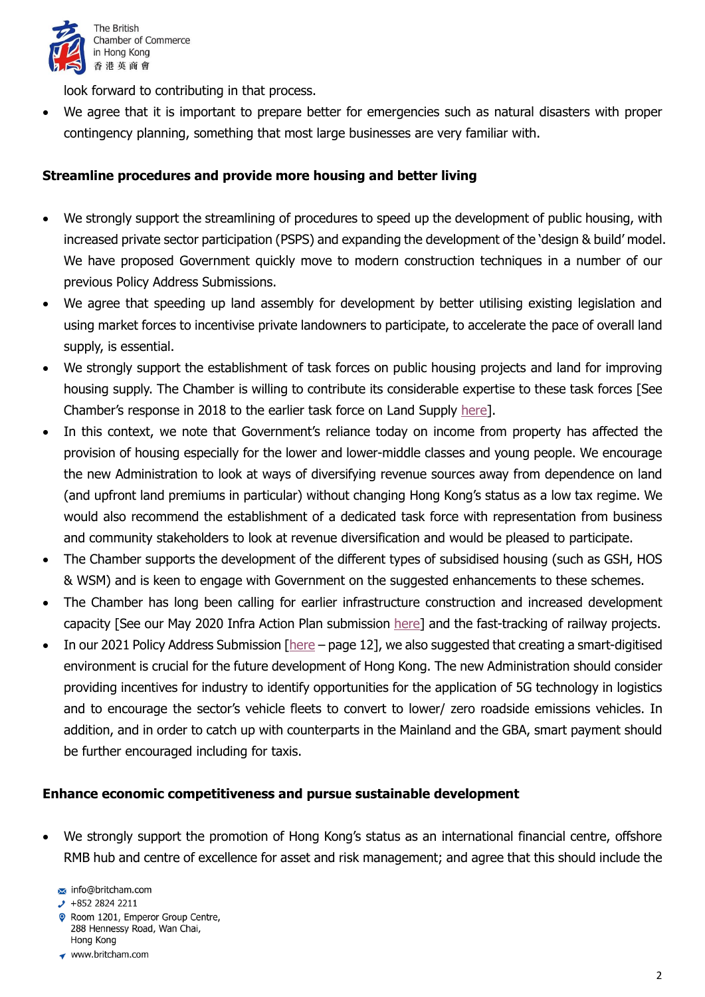

look forward to contributing in that process.

 We agree that it is important to prepare better for emergencies such as natural disasters with proper contingency planning, something that most large businesses are very familiar with.

## **Streamline procedures and provide more housing and better living**

- We strongly support the streamlining of procedures to speed up the development of public housing, with increased private sector participation (PSPS) and expanding the development of the 'design & build' model. We have proposed Government quickly move to modern construction techniques in a number of our previous Policy Address Submissions.
- We agree that speeding up land assembly for development by better utilising existing legislation and using market forces to incentivise private landowners to participate, to accelerate the pace of overall land supply, is essential.
- We strongly support the establishment of task forces on public housing projects and land for improving housing supply. The Chamber is willing to contribute its considerable expertise to these task forces [See Chamber's response in 2018 to the earlier task force on Land Supply [here\]](https://www.britcham.com/common/Uploaded%20files/News/ChamberNewsPolicyWork/2018/10.09.18%20-%20Chamber%20Submits%20its%20Response%20to%20the%20Task%20Force%20on%20Land%20Supply%20Public%20Engagement%202018.pdf).
- In this context, we note that Government's reliance today on income from property has affected the provision of housing especially for the lower and lower-middle classes and young people. We encourage the new Administration to look at ways of diversifying revenue sources away from dependence on land (and upfront land premiums in particular) without changing Hong Kong's status as a low tax regime. We would also recommend the establishment of a dedicated task force with representation from business and community stakeholders to look at revenue diversification and would be pleased to participate.
- The Chamber supports the development of the different types of subsidised housing (such as GSH, HOS & WSM) and is keen to engage with Government on the suggested enhancements to these schemes.
- The Chamber has long been calling for earlier infrastructure construction and increased development capacity [See our May 2020 Infra Action Plan submission [here\]](https://www.britcham.com/common/Uploaded%20files/News/ChamberNewsPolicyWork/2020/BritCham%20letter%20to%20HK%20Government%20InfraActionPlan.pdf) and the fast-tracking of railway projects.
- In our 2021 Policy Address Submission [\[here](https://www.britcham.com/common/Uploaded%20files/News/ChamberNewsPolicyWork/2021/2021%20PA%20submission_full_signed.pdf) page 12], we also suggested that creating a smart-digitised environment is crucial for the future development of Hong Kong. The new Administration should consider providing incentives for industry to identify opportunities for the application of 5G technology in logistics and to encourage the sector's vehicle fleets to convert to lower/ zero roadside emissions vehicles. In addition, and in order to catch up with counterparts in the Mainland and the GBA, smart payment should be further encouraged including for taxis.

#### **Enhance economic competitiveness and pursue sustainable development**

 We strongly support the promotion of Hong Kong's status as an international financial centre, offshore RMB hub and centre of excellence for asset and risk management; and agree that this should include the

- $\cdot$  +852 2824 2211
- Room 1201, Emperor Group Centre, 288 Hennessy Road, Wan Chai, Hong Kong
- ◆ www.britcham.com

info@britcham.com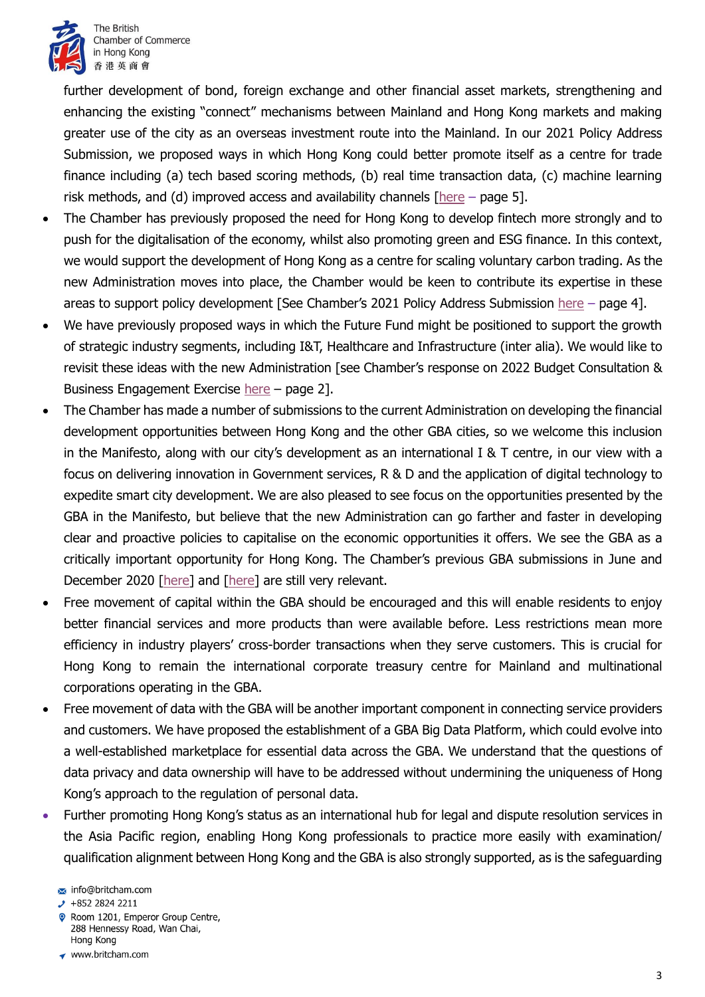

further development of bond, foreign exchange and other financial asset markets, strengthening and enhancing the existing "connect" mechanisms between Mainland and Hong Kong markets and making greater use of the city as an overseas investment route into the Mainland. In our 2021 Policy Address Submission, we proposed ways in which Hong Kong could better promote itself as a centre for trade finance including (a) tech based scoring methods, (b) real time transaction data, (c) machine learning risk methods, and (d) improved access and availability channels [\[here](https://www.britcham.com/common/Uploaded%20files/News/ChamberNewsPolicyWork/2021/2021%20PA%20submission_full_signed.pdf) – page 5].

- The Chamber has previously proposed the need for Hong Kong to develop fintech more strongly and to push for the digitalisation of the economy, whilst also promoting green and ESG finance. In this context, we would support the development of Hong Kong as a centre for scaling voluntary carbon trading. As the new Administration moves into place, the Chamber would be keen to contribute its expertise in these areas to support policy development [See Chamber's 2021 Policy Address Submission [here](https://www.britcham.com/common/Uploaded%20files/News/ChamberNewsPolicyWork/2021/2021%20PA%20submission_full_signed.pdf) – page 4].
- We have previously proposed ways in which the Future Fund might be positioned to support the growth of strategic industry segments, including I&T, Healthcare and Infrastructure (inter alia). We would like to revisit these ideas with the new Administration [see Chamber's response on 2022 Budget Consultation & Business Engagement Exercise [here](https://www.britcham.com/common/Uploaded%20files/News/ChamberNewsPolicyWork/2022/2022_budget_consultation_letter_to_FS_clean.pdf) – page 2].
- The Chamber has made a number of submissions to the current Administration on developing the financial development opportunities between Hong Kong and the other GBA cities, so we welcome this inclusion in the Manifesto, along with our city's development as an international I & T centre, in our view with a focus on delivering innovation in Government services, R & D and the application of digital technology to expedite smart city development. We are also pleased to see focus on the opportunities presented by the GBA in the Manifesto, but believe that the new Administration can go farther and faster in developing clear and proactive policies to capitalise on the economic opportunities it offers. We see the GBA as a critically important opportunity for Hong Kong. The Chamber's previous GBA submissions in June and December 2020 [\[here\]](https://www.britcham.com/common/Uploaded%20files/News/ChamberNewsPolicyWork/2020/BritCham_GBA_Position_Paper_(Final)_30.06.2020.pdf) and [\[here\]](https://www.britcham.com/common/Uploaded%20files/News/ChamberNewsPolicyWork/2021/BritCham%20Second%20GBA%20Policy%20Submission%20(final).pdf) are still very relevant.
- Free movement of capital within the GBA should be encouraged and this will enable residents to enjoy better financial services and more products than were available before. Less restrictions mean more efficiency in industry players' cross-border transactions when they serve customers. This is crucial for Hong Kong to remain the international corporate treasury centre for Mainland and multinational corporations operating in the GBA.
- Free movement of data with the GBA will be another important component in connecting service providers and customers. We have proposed the establishment of a GBA Big Data Platform, which could evolve into a well-established marketplace for essential data across the GBA. We understand that the questions of data privacy and data ownership will have to be addressed without undermining the uniqueness of Hong Kong's approach to the regulation of personal data.
- Further promoting Hong Kong's status as an international hub for legal and dispute resolution services in the Asia Pacific region, enabling Hong Kong professionals to practice more easily with examination/ qualification alignment between Hong Kong and the GBA is also strongly supported, as is the safeguarding

- Room 1201, Emperor Group Centre, 288 Hennessy Road, Wan Chai, Hong Kong
- ◆ www.britcham.com

info@britcham.com

 $\cdot$  +852 2824 2211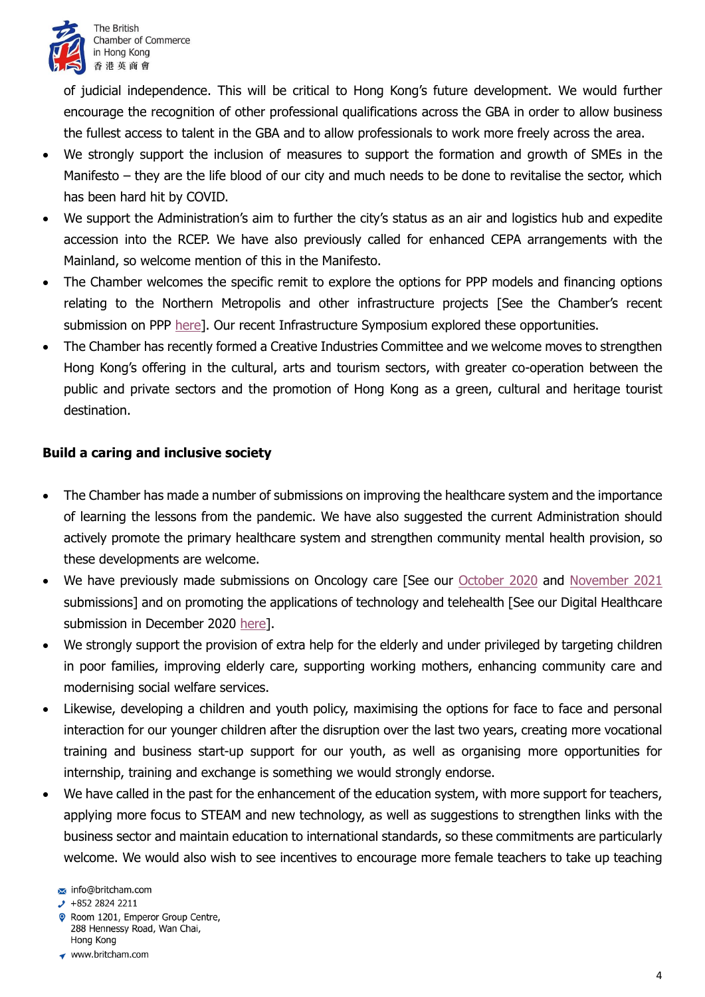

of judicial independence. This will be critical to Hong Kong's future development. We would further encourage the recognition of other professional qualifications across the GBA in order to allow business the fullest access to talent in the GBA and to allow professionals to work more freely across the area.

- We strongly support the inclusion of measures to support the formation and growth of SMEs in the Manifesto – they are the life blood of our city and much needs to be done to revitalise the sector, which has been hard hit by COVID.
- We support the Administration's aim to further the city's status as an air and logistics hub and expedite accession into the RCEP. We have also previously called for enhanced CEPA arrangements with the Mainland, so welcome mention of this in the Manifesto.
- The Chamber welcomes the specific remit to explore the options for PPP models and financing options relating to the Northern Metropolis and other infrastructure projects [See the Chamber's recent submission on PPP [here\]](https://www.britcham.com/common/Uploaded%20files/News/ChamberNewsPolicyWork/2022/220420_%20PPP%20submission%20_%20Final.pdf). Our recent Infrastructure Symposium explored these opportunities.
- The Chamber has recently formed a Creative Industries Committee and we welcome moves to strengthen Hong Kong's offering in the cultural, arts and tourism sectors, with greater co-operation between the public and private sectors and the promotion of Hong Kong as a green, cultural and heritage tourist destination.

# **Build a caring and inclusive society**

- The Chamber has made a number of submissions on improving the healthcare system and the importance of learning the lessons from the pandemic. We have also suggested the current Administration should actively promote the primary healthcare system and strengthen community mental health provision, so these developments are welcome.
- We have previously made submissions on Oncology care [See our [October 2020](https://www.britcham.com/common/Uploaded%20files/News/ChamberNewsPolicyWork/2020/Oncology%20-%20Letter%20to%20Secretary%20FHB%20and%20Director%20(Cluster%20Services)%20of%20HA%20-%202020-10-09.pdf) and [November 2021](https://www.britcham.com/common/Uploaded%20files/News/ChamberNewsPolicyWork/2021/2021-11-22%20-%20BritCham%20Oncology%20Sub-Committee%20Letter%20to%20%20FHB%20-%20FHB%20Ref%20H%2016%20-%2051%20-%20Final.pdf) submissions] and on promoting the applications of technology and telehealth [See our Digital Healthcare submission in December 2020 [here\]](https://www.britcham.com/common/Uploaded%20files/News/ChamberNewsPolicyWork/2020/20201203%20BritCham%20Briefing%20Paper%20on%20GBA%20Digital%20Health%20Strategy%20-%20Final.pdf).
- We strongly support the provision of extra help for the elderly and under privileged by targeting children in poor families, improving elderly care, supporting working mothers, enhancing community care and modernising social welfare services.
- Likewise, developing a children and youth policy, maximising the options for face to face and personal interaction for our younger children after the disruption over the last two years, creating more vocational training and business start-up support for our youth, as well as organising more opportunities for internship, training and exchange is something we would strongly endorse.
- We have called in the past for the enhancement of the education system, with more support for teachers, applying more focus to STEAM and new technology, as well as suggestions to strengthen links with the business sector and maintain education to international standards, so these commitments are particularly welcome. We would also wish to see incentives to encourage more female teachers to take up teaching

Room 1201, Emperor Group Centre, 288 Hennessy Road, Wan Chai, Hong Kong

info@britcham.com

 $\cdot$  +852 2824 2211

<sup>◆</sup> www.britcham.com